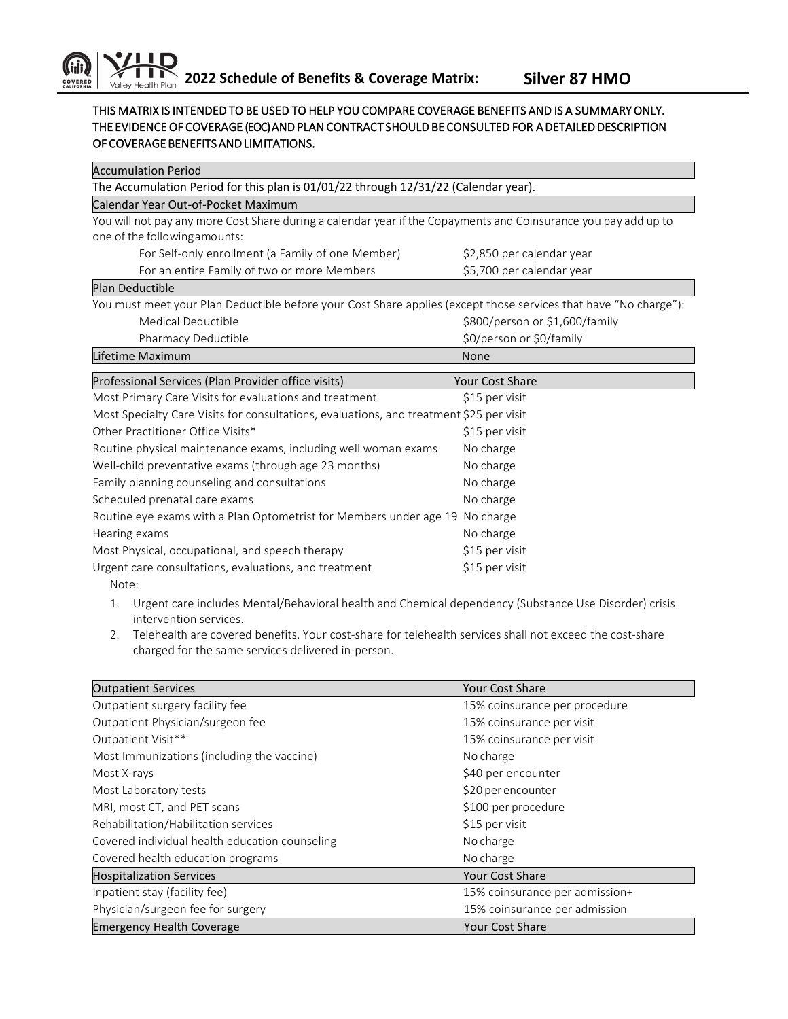## THIS MATRIX IS INTENDED TO BE USED TO HELP YOU COMPARE COVERAGE BENEFITS AND IS A SUMMARY ONLY. THE EVIDENCE OF COVERAGE (EOC) AND PLAN CONTRACT SHOULD BE CONSULTED FOR A DETAILED DESCRIPTION OF COVERAGE BENEFITS AND LIMITATIONS.

| <b>Accumulation Period</b>                                                                                       |                                |  |
|------------------------------------------------------------------------------------------------------------------|--------------------------------|--|
| The Accumulation Period for this plan is 01/01/22 through 12/31/22 (Calendar year).                              |                                |  |
| Calendar Year Out-of-Pocket Maximum                                                                              |                                |  |
| You will not pay any more Cost Share during a calendar year if the Copayments and Coinsurance you pay add up to  |                                |  |
| one of the following amounts:                                                                                    |                                |  |
| For Self-only enrollment (a Family of one Member)                                                                | \$2,850 per calendar year      |  |
| For an entire Family of two or more Members                                                                      | \$5,700 per calendar year      |  |
| <b>Plan Deductible</b>                                                                                           |                                |  |
| You must meet your Plan Deductible before your Cost Share applies (except those services that have "No charge"): |                                |  |
| Medical Deductible                                                                                               | \$800/person or \$1,600/family |  |
| Pharmacy Deductible                                                                                              | \$0/person or \$0/family       |  |
| Lifetime Maximum                                                                                                 | None                           |  |
| Professional Services (Plan Provider office visits)                                                              | <b>Your Cost Share</b>         |  |
| Most Primary Care Visits for evaluations and treatment                                                           | \$15 per visit                 |  |
| Most Specialty Care Visits for consultations, evaluations, and treatment \$25 per visit                          |                                |  |
| Other Practitioner Office Visits*                                                                                | \$15 per visit                 |  |
| Routine physical maintenance exams, including well woman exams                                                   | No charge                      |  |
| Well-child preventative exams (through age 23 months)                                                            | No charge                      |  |
| Family planning counseling and consultations                                                                     | No charge                      |  |
| Scheduled prenatal care exams                                                                                    | No charge                      |  |
| Routine eye exams with a Plan Optometrist for Members under age 19                                               | No charge                      |  |
| Hearing exams                                                                                                    | No charge                      |  |
| Most Physical, occupational, and speech therapy                                                                  | \$15 per visit                 |  |
| Urgent care consultations, evaluations, and treatment                                                            | \$15 per visit                 |  |
| Note:                                                                                                            |                                |  |
|                                                                                                                  |                                |  |

- 1. Urgent care includes Mental/Behavioral health and Chemical dependency (Substance Use Disorder) crisis intervention services.
- 2. Telehealth are covered benefits. Your cost-share for telehealth services shall not exceed the cost-share charged for the same services delivered in-person.

| <b>Outpatient Services</b>                     | Your Cost Share                |
|------------------------------------------------|--------------------------------|
| Outpatient surgery facility fee                | 15% coinsurance per procedure  |
| Outpatient Physician/surgeon fee               | 15% coinsurance per visit      |
| Outpatient Visit**                             | 15% coinsurance per visit      |
| Most Immunizations (including the vaccine)     | No charge                      |
| Most X-rays                                    | \$40 per encounter             |
| Most Laboratory tests                          | \$20 per encounter             |
| MRI, most CT, and PET scans                    | \$100 per procedure            |
| Rehabilitation/Habilitation services           | \$15 per visit                 |
| Covered individual health education counseling | No charge                      |
| Covered health education programs              | No charge                      |
| <b>Hospitalization Services</b>                | <b>Your Cost Share</b>         |
| Inpatient stay (facility fee)                  | 15% coinsurance per admission+ |
| Physician/surgeon fee for surgery              | 15% coinsurance per admission  |
| <b>Emergency Health Coverage</b>               | Your Cost Share                |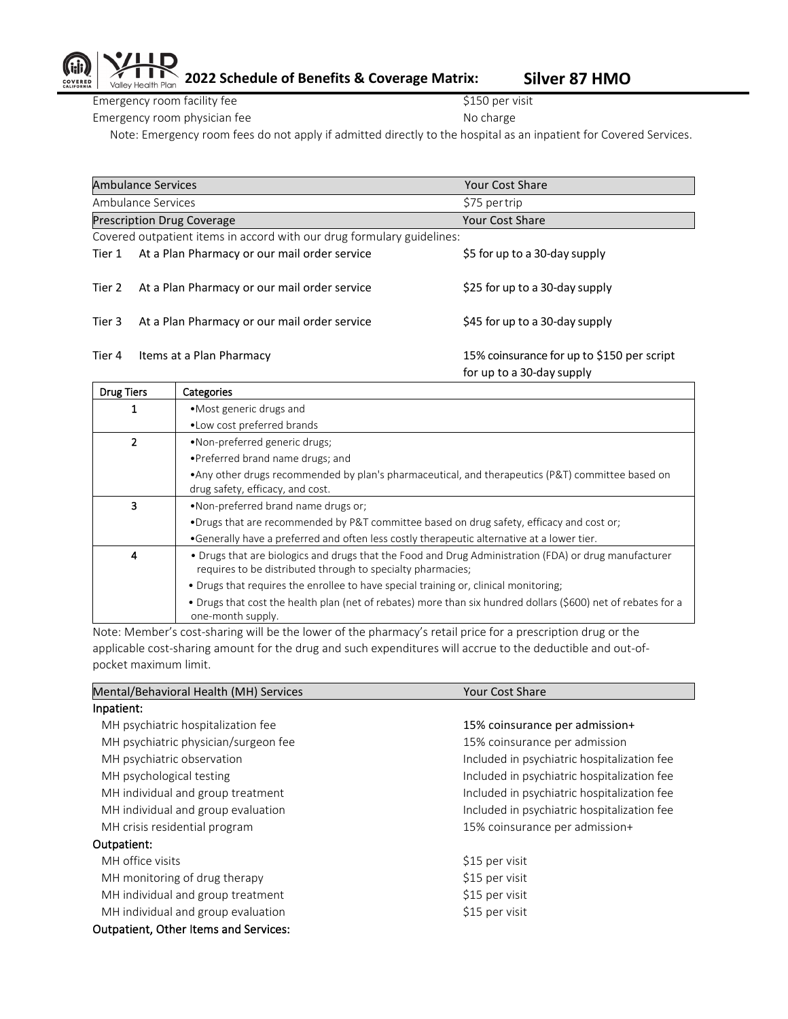## **2022 Schedule of Benefits & Coverage Matrix: Silver 87 HMO**

Emergency room facility fee \$150 per visit

Valley Health Plan

Emergency room physician fee No charge No charge

Note: Emergency room fees do not apply if admitted directly to the hospital as an inpatient for Covered Services.

|                                                                        | <b>Ambulance Services</b>                    | <b>Your Cost Share</b>                                                  |
|------------------------------------------------------------------------|----------------------------------------------|-------------------------------------------------------------------------|
|                                                                        | Ambulance Services                           | \$75 per trip                                                           |
|                                                                        | <b>Prescription Drug Coverage</b>            | <b>Your Cost Share</b>                                                  |
| Covered outpatient items in accord with our drug formulary guidelines: |                                              |                                                                         |
| Tier 1                                                                 | At a Plan Pharmacy or our mail order service | \$5 for up to a 30-day supply                                           |
| Tier 2                                                                 | At a Plan Pharmacy or our mail order service | \$25 for up to a 30-day supply                                          |
| Tier 3                                                                 | At a Plan Pharmacy or our mail order service | \$45 for up to a 30-day supply                                          |
| Tier 4                                                                 | Items at a Plan Pharmacy                     | 15% coinsurance for up to \$150 per script<br>for up to a 30-day supply |

| <b>Drug Tiers</b> | Categories                                                                                                                                                           |
|-------------------|----------------------------------------------------------------------------------------------------------------------------------------------------------------------|
|                   | • Most generic drugs and                                                                                                                                             |
|                   | • Low cost preferred brands                                                                                                                                          |
|                   | •Non-preferred generic drugs;                                                                                                                                        |
|                   | • Preferred brand name drugs; and                                                                                                                                    |
|                   | • Any other drugs recommended by plan's pharmaceutical, and therapeutics (P&T) committee based on<br>drug safety, efficacy, and cost.                                |
| 3                 | •Non-preferred brand name drugs or:                                                                                                                                  |
|                   | •Drugs that are recommended by P&T committee based on drug safety, efficacy and cost or;                                                                             |
|                   | •Generally have a preferred and often less costly therapeutic alternative at a lower tier.                                                                           |
| 4                 | • Drugs that are biologics and drugs that the Food and Drug Administration (FDA) or drug manufacturer<br>requires to be distributed through to specialty pharmacies; |
|                   | • Drugs that requires the enrollee to have special training or, clinical monitoring;                                                                                 |
|                   | • Drugs that cost the health plan (net of rebates) more than six hundred dollars (\$600) net of rebates for a<br>one-month supply.                                   |

Note: Member's cost-sharing will be the lower of the pharmacy's retail price for a prescription drug or the applicable cost-sharing amount for the drug and such expenditures will accrue to the deductible and out-ofpocket maximum limit.

| Mental/Behavioral Health (MH) Services       | Your Cost Share                             |  |
|----------------------------------------------|---------------------------------------------|--|
| Inpatient:                                   |                                             |  |
| MH psychiatric hospitalization fee           | 15% coinsurance per admission+              |  |
| MH psychiatric physician/surgeon fee         | 15% coinsurance per admission               |  |
| MH psychiatric observation                   | Included in psychiatric hospitalization fee |  |
| MH psychological testing                     | Included in psychiatric hospitalization fee |  |
| MH individual and group treatment            | Included in psychiatric hospitalization fee |  |
| MH individual and group evaluation           | Included in psychiatric hospitalization fee |  |
| MH crisis residential program                | 15% coinsurance per admission+              |  |
| Outpatient:                                  |                                             |  |
| MH office visits                             | \$15 per visit                              |  |
| MH monitoring of drug therapy                | \$15 per visit                              |  |
| MH individual and group treatment            | \$15 per visit                              |  |
| MH individual and group evaluation           | \$15 per visit                              |  |
| <b>Outpatient, Other Items and Services:</b> |                                             |  |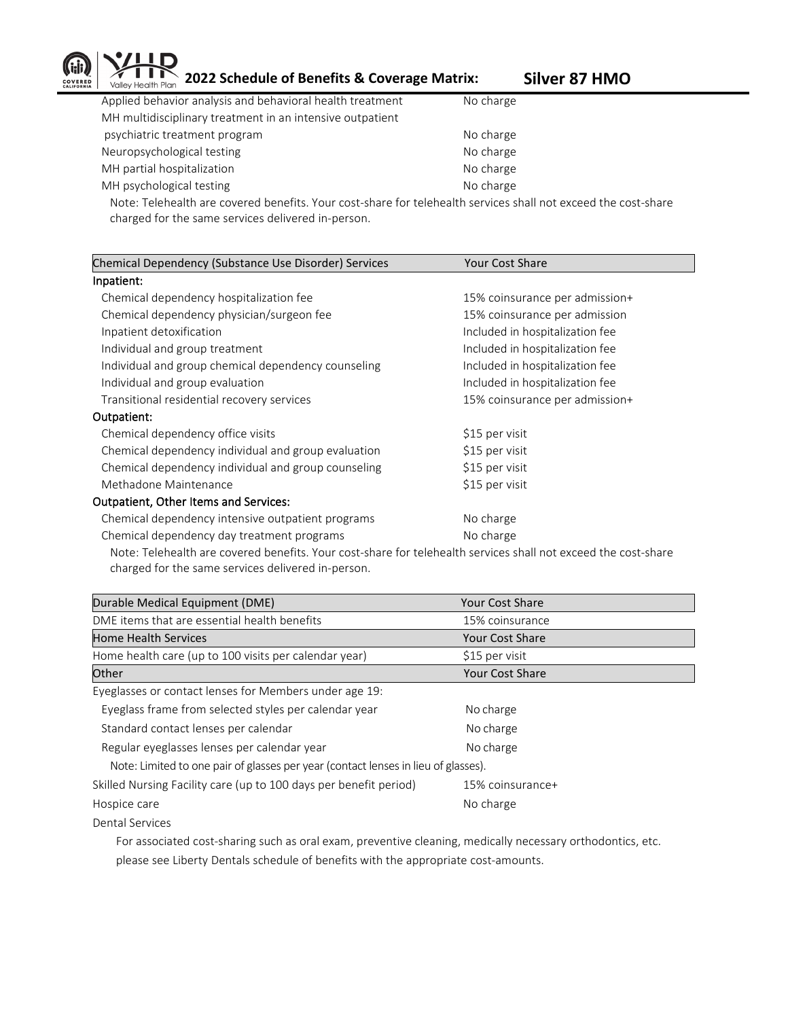

**2022 Schedule of Benefits & Coverage Matrix:** Silver 87 HMO

| Applied behavior analysis and behavioral health treatment                                                                                                                                                                      | No charge |
|--------------------------------------------------------------------------------------------------------------------------------------------------------------------------------------------------------------------------------|-----------|
| MH multidisciplinary treatment in an intensive outpatient                                                                                                                                                                      |           |
| psychiatric treatment program                                                                                                                                                                                                  | No charge |
| Neuropsychological testing                                                                                                                                                                                                     | No charge |
| MH partial hospitalization                                                                                                                                                                                                     | No charge |
| MH psychological testing                                                                                                                                                                                                       | No charge |
| Alexandro Habertale and access of the conflict Alexandro and the controller of the control of the control of the control of the control of the control of the control of the control of the control of the control of the cont |           |

Note: Telehealth are covered benefits. Your cost-share for telehealth services shall not exceed the cost-share charged for the same services delivered in-person.

| Chemical Dependency (Substance Use Disorder) Services                                                          | <b>Your Cost Share</b>          |  |  |
|----------------------------------------------------------------------------------------------------------------|---------------------------------|--|--|
| Inpatient:                                                                                                     |                                 |  |  |
| Chemical dependency hospitalization fee                                                                        | 15% coinsurance per admission+  |  |  |
| Chemical dependency physician/surgeon fee                                                                      | 15% coinsurance per admission   |  |  |
| Inpatient detoxification                                                                                       | Included in hospitalization fee |  |  |
| Individual and group treatment                                                                                 | Included in hospitalization fee |  |  |
| Individual and group chemical dependency counseling                                                            | Included in hospitalization fee |  |  |
| Individual and group evaluation                                                                                | Included in hospitalization fee |  |  |
| Transitional residential recovery services                                                                     | 15% coinsurance per admission+  |  |  |
| Outpatient:                                                                                                    |                                 |  |  |
| Chemical dependency office visits                                                                              | \$15 per visit                  |  |  |
| Chemical dependency individual and group evaluation                                                            | \$15 per visit                  |  |  |
| Chemical dependency individual and group counseling                                                            | \$15 per visit                  |  |  |
| Methadone Maintenance                                                                                          | \$15 per visit                  |  |  |
| <b>Outpatient, Other Items and Services:</b>                                                                   |                                 |  |  |
| Chemical dependency intensive outpatient programs                                                              | No charge                       |  |  |
| Chemical dependency day treatment programs                                                                     | No charge                       |  |  |
| Note: Teleboalth are covered benefits. Your cost share for teleboalth services shall not exceed the sest share |                                 |  |  |

Note: Telehealth are covered benefits. Your cost-share for telehealth services shall not exceed the cost-share charged for the same services delivered in-person.

| Durable Medical Equipment (DME)                                                    | <b>Your Cost Share</b> |
|------------------------------------------------------------------------------------|------------------------|
| DME items that are essential health benefits                                       | 15% coinsurance        |
| <b>Home Health Services</b>                                                        | <b>Your Cost Share</b> |
| Home health care (up to 100 visits per calendar year)                              | \$15 per visit         |
| Other                                                                              | <b>Your Cost Share</b> |
| Eyeglasses or contact lenses for Members under age 19:                             |                        |
| Eyeglass frame from selected styles per calendar year                              | No charge              |
| Standard contact lenses per calendar                                               | No charge              |
| Regular eyeglasses lenses per calendar year                                        | No charge              |
| Note: Limited to one pair of glasses per year (contact lenses in lieu of glasses). |                        |
| Skilled Nursing Facility care (up to 100 days per benefit period)                  | 15% coinsurance+       |
| Hospice care                                                                       | No charge              |

Dental Services

 For associated cost-sharing such as oral exam, preventive cleaning, medically necessary orthodontics, etc. please see Liberty Dentals schedule of benefits with the appropriate cost-amounts.